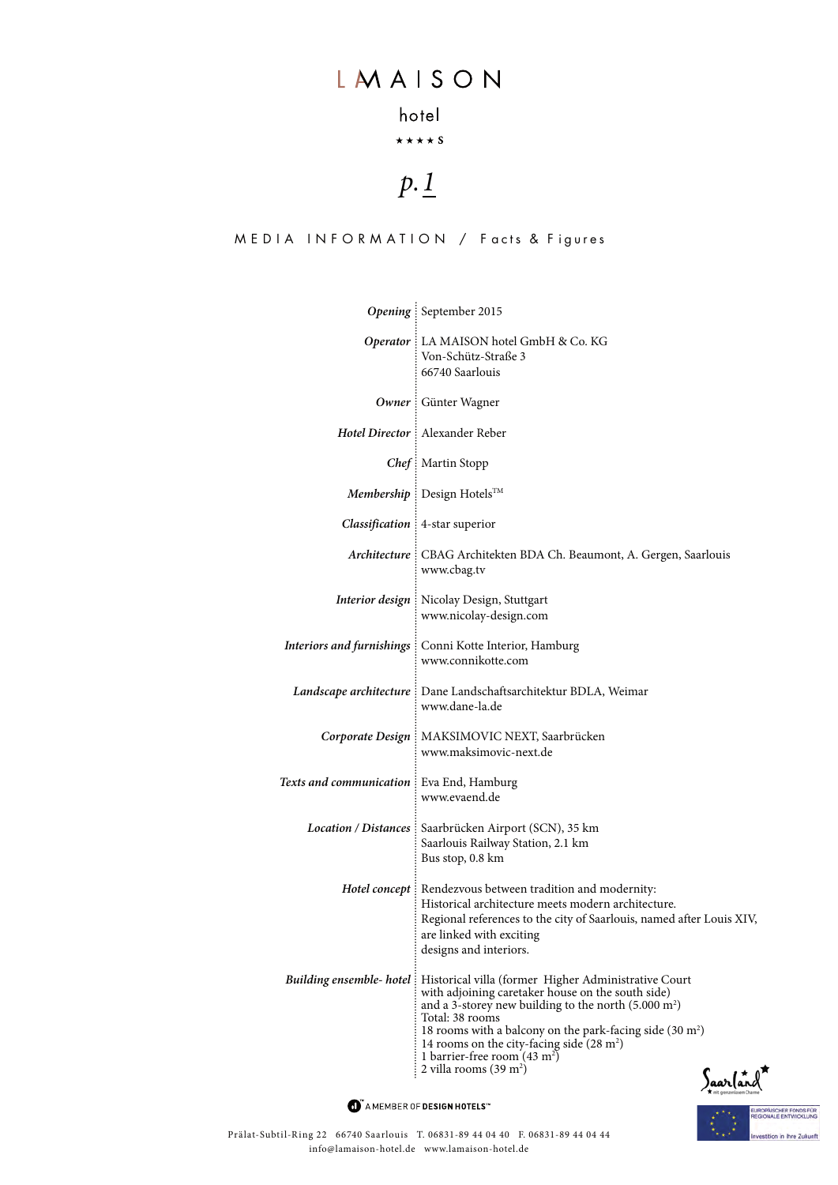## LMAISON

## hotel

### $\star\star\star\star$  S

# *p.1*

#### MEDIA INFORMATION / Facts & Figures

|                                            | Opening September 2015                                                                                                                                                                                                                                                                                                                                                                                                |
|--------------------------------------------|-----------------------------------------------------------------------------------------------------------------------------------------------------------------------------------------------------------------------------------------------------------------------------------------------------------------------------------------------------------------------------------------------------------------------|
|                                            | Operator : LA MAISON hotel GmbH & Co. KG<br>Von-Schütz-Straße 3<br>66740 Saarlouis                                                                                                                                                                                                                                                                                                                                    |
|                                            | Owner : Günter Wagner                                                                                                                                                                                                                                                                                                                                                                                                 |
|                                            | Hotel Director : Alexander Reber                                                                                                                                                                                                                                                                                                                                                                                      |
|                                            | Chef: Martin Stopp                                                                                                                                                                                                                                                                                                                                                                                                    |
|                                            | Membership : Design Hotels™                                                                                                                                                                                                                                                                                                                                                                                           |
|                                            | Classification : 4-star superior                                                                                                                                                                                                                                                                                                                                                                                      |
|                                            | Architecture : CBAG Architekten BDA Ch. Beaumont, A. Gergen, Saarlouis<br>www.cbag.tv                                                                                                                                                                                                                                                                                                                                 |
|                                            | <b>Interior design</b> : Nicolay Design, Stuttgart<br>www.nicolay-design.com                                                                                                                                                                                                                                                                                                                                          |
|                                            | Interiors and furnishings : Conni Kotte Interior, Hamburg<br>www.connikotte.com                                                                                                                                                                                                                                                                                                                                       |
|                                            | Landscape architecture : Dane Landschaftsarchitektur BDLA, Weimar<br>www.dane-la.de                                                                                                                                                                                                                                                                                                                                   |
|                                            | Corporate Design : MAKSIMOVIC NEXT, Saarbrücken<br>www.maksimovic-next.de                                                                                                                                                                                                                                                                                                                                             |
| Texts and communication : Eva End, Hamburg | www.evaend.de                                                                                                                                                                                                                                                                                                                                                                                                         |
|                                            | Location / Distances   Saarbrücken Airport (SCN), 35 km<br>Saarlouis Railway Station, 2.1 km<br>Bus stop, 0.8 km                                                                                                                                                                                                                                                                                                      |
|                                            | Hotel concept : Rendezvous between tradition and modernity:<br>Historical architecture meets modern architecture.<br>Regional references to the city of Saarlouis, named after Louis XIV,<br>are linked with exciting<br>designs and interiors.                                                                                                                                                                       |
| <b>Building ensemble- hotel:</b>           | Historical villa (former Higher Administrative Court<br>with adjoining caretaker house on the south side)<br>and a 3-storey new building to the north $(5.000 \text{ m}^2)$<br>Total: 38 rooms<br>18 rooms with a balcony on the park-facing side $(30 \text{ m}^2)$<br>14 rooms on the city-facing side $(28 \text{ m}^2)$<br>1 barrier-free room $(43 \text{ m}^2)$<br>2 villa rooms $(39 \text{ m}^2)$<br>Saarland |

 $\bullet$  AMEMBER OF DESIGN HOTELS<sup>\*\*</sup>

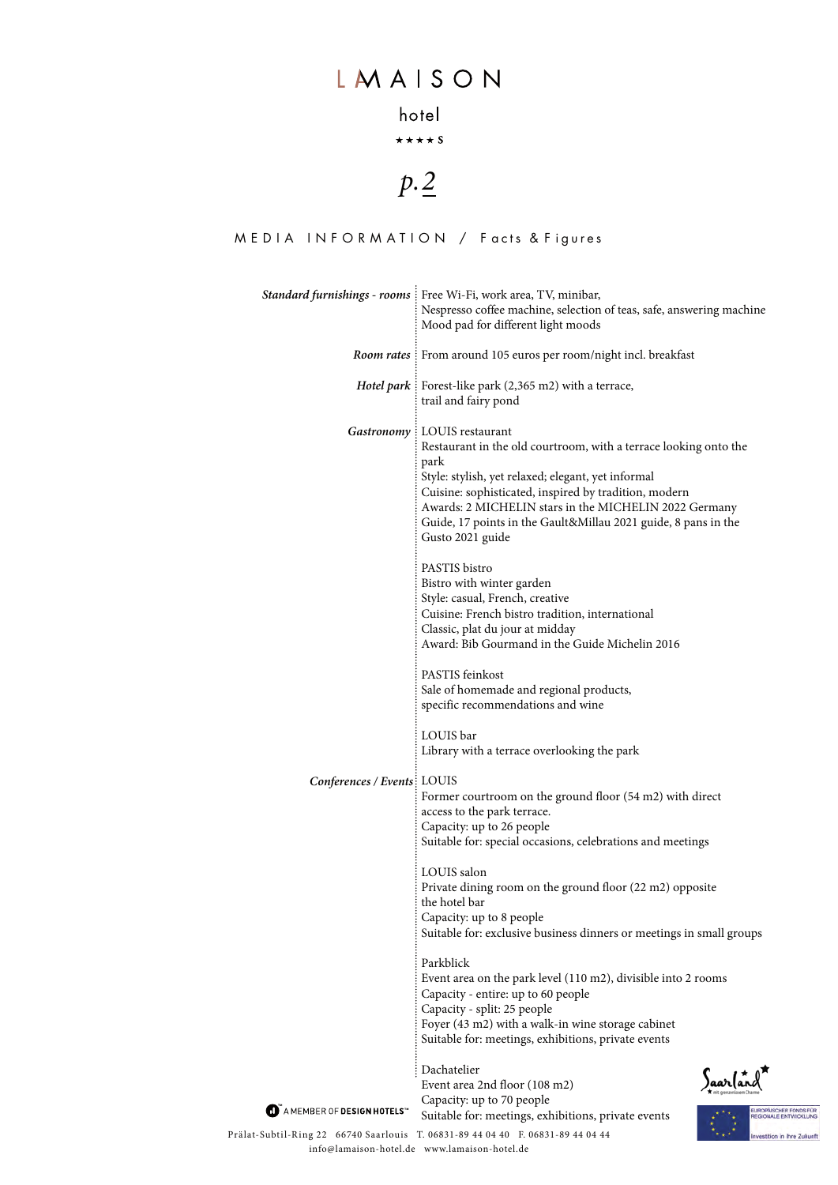## LMAISON

### hotel

 $\star\star\star\star$  S

# *p.2*

#### MEDIA INFORMATION / Facts & Figures

|                                        | Standard furnishings - rooms : Free Wi-Fi, work area, TV, minibar,<br>Nespresso coffee machine, selection of teas, safe, answering machine<br>Mood pad for different light moods                                                                                                                                                                                        |
|----------------------------------------|-------------------------------------------------------------------------------------------------------------------------------------------------------------------------------------------------------------------------------------------------------------------------------------------------------------------------------------------------------------------------|
|                                        | <b>Room rates</b> : From around 105 euros per room/night incl. breakfast                                                                                                                                                                                                                                                                                                |
|                                        | <i>Hotel park</i> : Forest-like park $(2,365 \text{ m2})$ with a terrace,<br>trail and fairy pond                                                                                                                                                                                                                                                                       |
|                                        | Gastronomy : LOUIS restaurant<br>Restaurant in the old courtroom, with a terrace looking onto the<br>park<br>Style: stylish, yet relaxed; elegant, yet informal<br>Cuisine: sophisticated, inspired by tradition, modern<br>Awards: 2 MICHELIN stars in the MICHELIN 2022 Germany<br>Guide, 17 points in the Gault&Millau 2021 guide, 8 pans in the<br>Gusto 2021 guide |
|                                        | PASTIS bistro<br>Bistro with winter garden<br>Style: casual, French, creative<br>Cuisine: French bistro tradition, international<br>Classic, plat du jour at midday<br>Award: Bib Gourmand in the Guide Michelin 2016                                                                                                                                                   |
|                                        | PASTIS feinkost<br>Sale of homemade and regional products,<br>specific recommendations and wine                                                                                                                                                                                                                                                                         |
|                                        | LOUIS bar<br>Library with a terrace overlooking the park                                                                                                                                                                                                                                                                                                                |
| Conferences / Events: LOUIS            | Former courtroom on the ground floor (54 m2) with direct<br>access to the park terrace.<br>Capacity: up to 26 people<br>Suitable for: special occasions, celebrations and meetings                                                                                                                                                                                      |
|                                        | LOUIS salon<br>Private dining room on the ground floor (22 m2) opposite<br>the hotel bar<br>Capacity: up to 8 people<br>Suitable for: exclusive business dinners or meetings in small groups                                                                                                                                                                            |
|                                        | Parkblick<br>Event area on the park level (110 m2), divisible into 2 rooms<br>Capacity - entire: up to 60 people<br>Capacity - split: 25 people<br>Foyer (43 m2) with a walk-in wine storage cabinet<br>Suitable for: meetings, exhibitions, private events                                                                                                             |
| AMEMBER OF DESIGN HOTELS <sup>**</sup> | Dachatelier<br>Saarland<br>Event area 2nd floor (108 m2)<br>Capacity: up to 70 people<br>UROPAISCHER FONDS FÜR                                                                                                                                                                                                                                                          |
| Subtil-Ring 22 – 66740 Saarlouis       | Suitable for: meetings, exhibitions, private events<br>REGIONALE ENTWICKLUNG<br>T. 06831-89 44 04 40 F. 06831-89 44 04 44<br>Investition in Ihre Zukunft                                                                                                                                                                                                                |
|                                        |                                                                                                                                                                                                                                                                                                                                                                         |

Prälat-Subtil-Ring 22 66740 Saarlouis T. 06831-89 44 04 40 F. 06831-89 44 04 44 info@lamaison-hotel.de www.lamaison-hotel.de